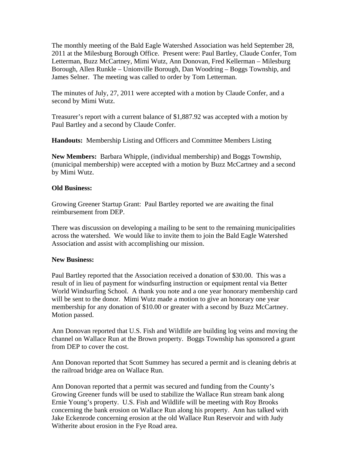The monthly meeting of the Bald Eagle Watershed Association was held September 28, 2011 at the Milesburg Borough Office. Present were: Paul Bartley, Claude Confer, Tom Letterman, Buzz McCartney, Mimi Wutz, Ann Donovan, Fred Kellerman – Milesburg Borough, Allen Runkle – Unionville Borough, Dan Woodring – Boggs Township, and James Selner. The meeting was called to order by Tom Letterman.

The minutes of July, 27, 2011 were accepted with a motion by Claude Confer, and a second by Mimi Wutz.

Treasurer's report with a current balance of \$1,887.92 was accepted with a motion by Paul Bartley and a second by Claude Confer.

**Handouts:** Membership Listing and Officers and Committee Members Listing

**New Members:** Barbara Whipple, (individual membership) and Boggs Township, (municipal membership) were accepted with a motion by Buzz McCartney and a second by Mimi Wutz.

## **Old Business:**

Growing Greener Startup Grant: Paul Bartley reported we are awaiting the final reimbursement from DEP.

There was discussion on developing a mailing to be sent to the remaining municipalities across the watershed. We would like to invite them to join the Bald Eagle Watershed Association and assist with accomplishing our mission.

## **New Business:**

Paul Bartley reported that the Association received a donation of \$30.00. This was a result of in lieu of payment for windsurfing instruction or equipment rental via Better World Windsurfing School. A thank you note and a one year honorary membership card will be sent to the donor. Mimi Wutz made a motion to give an honorary one year membership for any donation of \$10.00 or greater with a second by Buzz McCartney. Motion passed.

Ann Donovan reported that U.S. Fish and Wildlife are building log veins and moving the channel on Wallace Run at the Brown property. Boggs Township has sponsored a grant from DEP to cover the cost.

Ann Donovan reported that Scott Summey has secured a permit and is cleaning debris at the railroad bridge area on Wallace Run.

Ann Donovan reported that a permit was secured and funding from the County's Growing Greener funds will be used to stabilize the Wallace Run stream bank along Ernie Young's property. U.S. Fish and Wildlife will be meeting with Roy Brooks concerning the bank erosion on Wallace Run along his property. Ann has talked with Jake Eckenrode concerning erosion at the old Wallace Run Reservoir and with Judy Witherite about erosion in the Fye Road area.